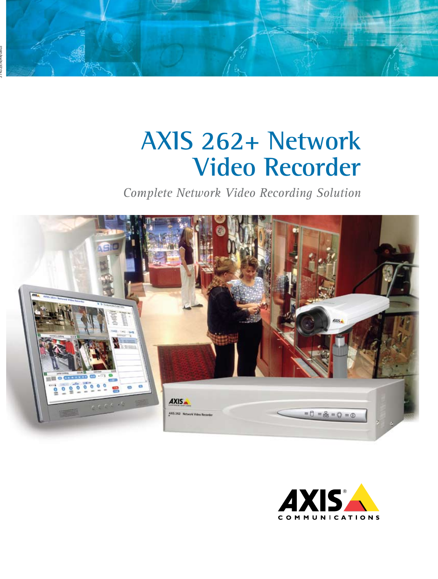# **AXIS 262+ Network Video Recorder**

*Complete Network Video Recording Solution*



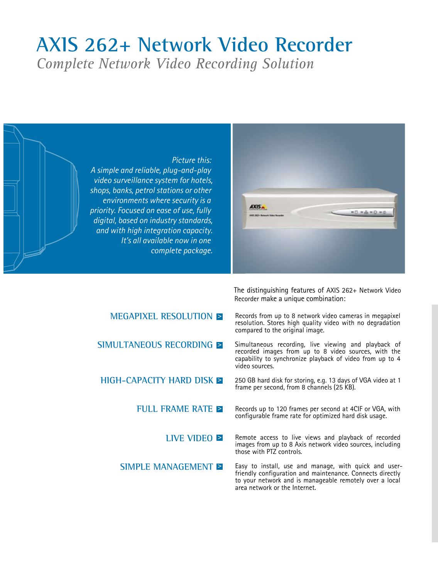## **AXIS 262+ Network Video Recorder**

*Complete Network Video Recording Solution*



The distinguishing features of AXIS 262+ Network Video Recorder make a unique combination:

| Records from up to 8 network video cameras in megapixel   |
|-----------------------------------------------------------|
| resolution. Stores high quality video with no degradation |
| compared to the original image.                           |
|                                                           |

Simultaneous recording, live viewing and playback of recorded images from up to 8 video sources, with the capability to synchronize playback of video from up to 4

250 GB hard disk for storing, e.g. 13 days of VGA video at 1

Records up to 120 frames per second at 4CIF or VGA, with configurable frame rate for optimized hard disk usage.

Remote access to live views and playback of recorded images from up to 8 Axis network video sources, including those with PTZ controls.

Easy to install, use and manage, with quick and userfriendly configuration and maintenance. Connects directly to your network and is manageable remotely over a local area network or the Internet.

## video sources. frame per second, from 8 channels (25 KB). **megapixel resolution > Simultaneous recording > High-capacity hard disk > full frame rate > live video > Simple management >**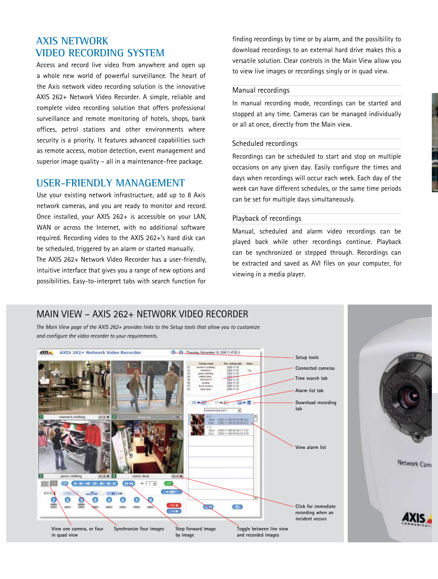## **Axis network video recording system**

Access and record live video from anywhere and open up a whole new world of powerful surveillance. The heart of the Axis network video recording solution is the innovative AXIS 262+ Network Video Recorder. A simple, reliable and complete video recording solution that offers professional surveillance and remote monitoring of hotels, shops, bank offices, petrol stations and other environments where security is a priority. It features advanced capabilities such as remote access, motion detection, event management and superior image quality – all in a maintenance-free package.

### **User-friendly management**

Use your existing network infrastructure, add up to 8 Axis network cameras, and you are ready to monitor and record. Once installed, your AXIS 262+ is accessible on your LAN, WAN or across the Internet, with no additional software required. Recording video to the AXIS 262+'s hard disk can be scheduled, triggered by an alarm or started manually. The AXIS 262+ Network Video Recorder has a user-friendly,

intuitive interface that gives you a range of new options and possibilities. Easy-to-interpret tabs with search function for finding recordings by time or by alarm, and the possibility to download recordings to an external hard drive makes this a versatile solution. Clear controls in the Main View allow you to view live images or recordings singly or in quad view.

#### Manual recordings

In manual recording mode, recordings can be started and stopped at any time. Cameras can be managed individually or all at once, directly from the Main view.

#### Scheduled recordings

Recordings can be scheduled to start and stop on multiple occasions on any given day. Easily configure the times and days when recordings will occur each week. Each day of the week can have different schedules, or the same time periods can be set for multiple days simultaneously.

#### Playback of recordings

Manual, scheduled and alarm video recordings can be played back while other recordings continue. Playback can be synchronized or stepped through. Recordings can be extracted and saved as AVI files on your computer, for viewing in a media player.

Network Cam

## MAIN VIEW – AXIS 262+ NETWORK VIDEO RECORDER

*The Main View page of the AXIS 262+ provides links to the Setup tools that allow you to customize and configure the video recorder to your requirements.* 

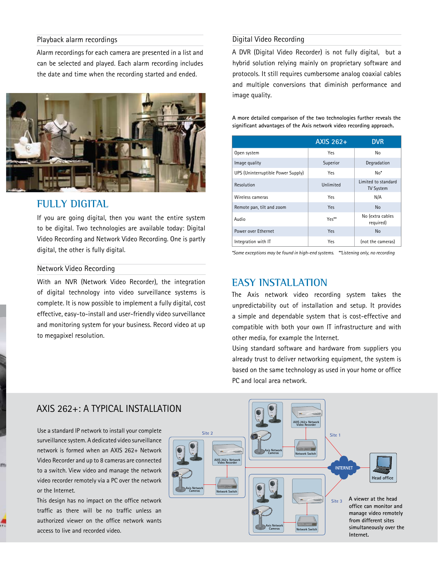#### Playback alarm recordings

Alarm recordings for each camera are presented in a list and can be selected and played. Each alarm recording includes the date and time when the recording started and ended.



## **FULLY DIGITAL**

If you are going digital, then you want the entire system to be digital. Two technologies are available today: Digital Video Recording and Network Video Recording. One is partly digital, the other is fully digital.

#### Network Video Recording

m

With an NVR (Network Video Recorder), the integration of digital technology into video surveillance systems is complete. It is now possible to implement a fully digital, cost effective, easy-to-install and user-friendly video surveillance and monitoring system for your business. Record video at up to megapixel resolution.

#### Digital Video Recording

A DVR (Digital Video Recorder) is not fully digital, but a hybrid solution relying mainly on proprietary software and protocols. It still requires cumbersome analog coaxial cables and multiple conversions that diminish performance and image quality.

**A more detailed comparison of the two technologies further reveals the significant advantages of the Axis network video recording approach.**

|                                    | <b>AXIS 262+</b> | <b>DVR</b>                              |
|------------------------------------|------------------|-----------------------------------------|
| Open system                        | Yes              | No                                      |
| Image quality                      | Superior         | Degradation                             |
| UPS (Uninterruptible Power Supply) | Yes              | $No*$                                   |
| Resolution                         | Unlimited        | Limited to standard<br><b>TV System</b> |
| Wireless cameras                   | Yes              | N/A                                     |
| Remote pan, tilt and zoom          | Yes              | <b>No</b>                               |
| Audio                              | Yes**            | No (extra cables<br>required)           |
| Power over Ethernet                | Yes              | <b>No</b>                               |
| Integration with IT                | Yes              | (not the cameras)                       |

*\*Some exceptions may be found in high-end systems. \*\*Listening only, no recording*

#### **EASY INSTALLATION**

The Axis network video recording system takes the unpredictability out of installation and setup. It provides a simple and dependable system that is cost-effective and compatible with both your own IT infrastructure and with other media, for example the Internet.

Using standard software and hardware from suppliers you already trust to deliver networking equipment, the system is based on the same technology as used in your home or office PC and local area network.

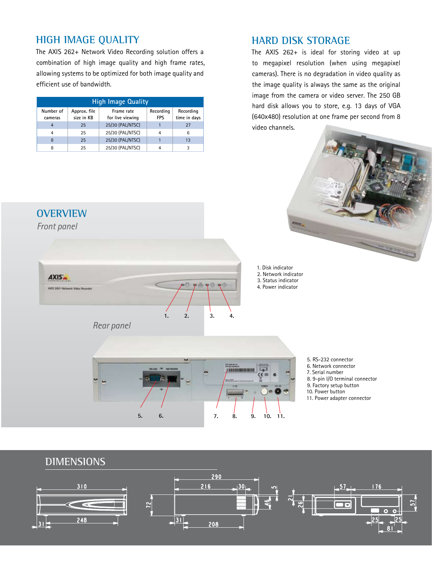## **High image quality**

The AXIS 262+ Network Video Recording solution offers a combination of high image quality and high frame rates, allowing systems to be optimized for both image quality and efficient use of bandwidth.

| <b>High Image Quality</b> |                            |                                |                         |                           |  |  |
|---------------------------|----------------------------|--------------------------------|-------------------------|---------------------------|--|--|
| Number of<br>cameras      | Approx. file<br>size in KB | Frame rate<br>for live viewing | Recording<br><b>FPS</b> | Recording<br>time in days |  |  |
| $\overline{4}$            | 25                         | 25/30 (PAL/NTSC)               |                         | 27                        |  |  |
| $\overline{4}$            | 25                         | 25/30 (PAL/NTSC)               | 4                       | 6                         |  |  |
| 8                         | 25                         | 25/30 (PAL/NTSC)               |                         | 13                        |  |  |
| 8                         | 25                         | 25/30 (PAL/NTSC)               |                         | 3                         |  |  |

## **HARD DISK STORAGE**

**Altra** 

The AXIS 262+ is ideal for storing video at up to megapixel resolution (when using megapixel cameras). There is no degradation in video quality as the image quality is always the same as the original image from the camera or video server. The 250 GB hard disk allows you to store, e.g. 13 days of VGA (640x480) resolution at one frame per second from 8 video channels.





- 5. RS-232 connector
- 6. Network connector
- 7. Serial number
- 8. 9-pin I/O terminal connector
- 9. Factory setup button
- 10. Power button
- 11. Power adapter connector

### **Dimensions**